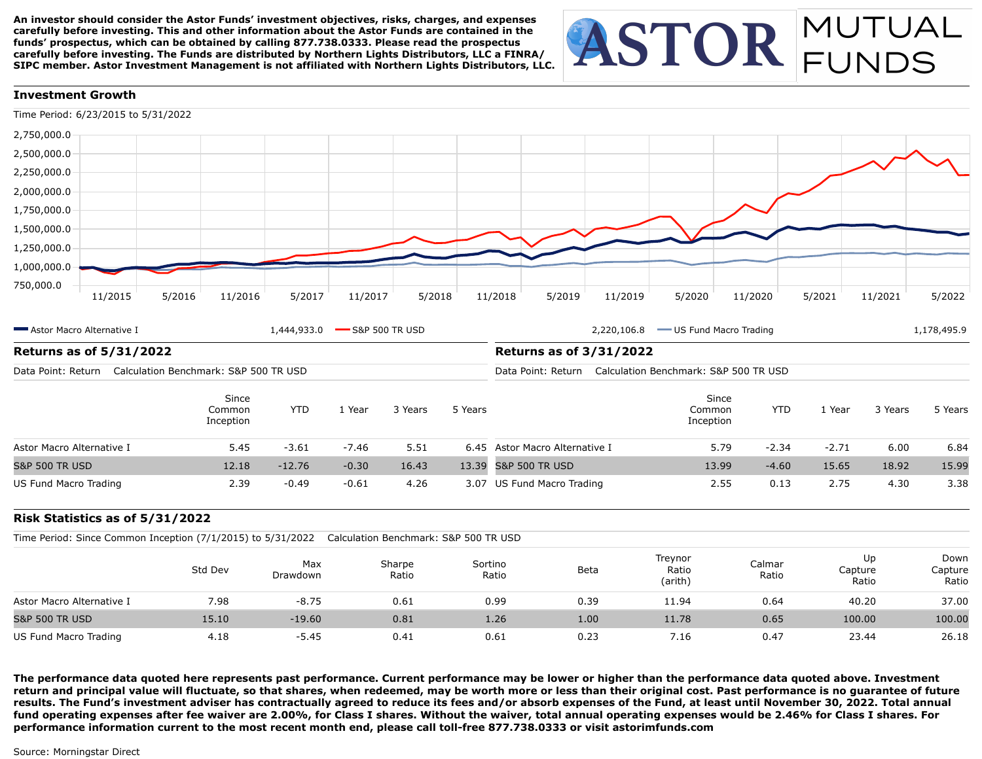**An investor should consider the Astor Funds' investment objectives, risks, charges, and expenses carefully before investing. This and other information about the Astor Funds are contained in the funds' prospectus, which can be obtained by calling 877.738.0333. Please read the prospectus carefully before investing. The Funds are distributed by Northern Lights Distributors, LLC a FINRA/ SIPC member. Astor Investment Management is not affiliated with Northern Lights Distributors, LLC.**

# ASTOR MUTUAL

# **Investment Growth**



| Astor Macro Alternative I                                   | 1,444,933.0                           |                                                             | $\rightarrow$ S&P 500 TR USD |         | 2,220,106.8<br>US Fund Macro Trading |                                | 1,178,495.9                  |            |         |         |         |
|-------------------------------------------------------------|---------------------------------------|-------------------------------------------------------------|------------------------------|---------|--------------------------------------|--------------------------------|------------------------------|------------|---------|---------|---------|
| <b>Returns as of 5/31/2022</b>                              |                                       |                                                             |                              |         | <b>Returns as of 3/31/2022</b>       |                                |                              |            |         |         |         |
| Data Point: Return                                          | Calculation Benchmark: S&P 500 TR USD | Calculation Benchmark: S&P 500 TR USD<br>Data Point: Return |                              |         |                                      |                                |                              |            |         |         |         |
|                                                             | Since<br>Common<br>Inception          | <b>YTD</b>                                                  | . Year                       | 3 Years | 5 Years                              |                                | Since<br>Common<br>Inception | <b>YTD</b> | . Year  | 3 Years | 5 Years |
| Astor Macro Alternative I                                   | 5.45                                  | $-3.61$                                                     | $-7.46$                      | 5.51    |                                      | 6.45 Astor Macro Alternative I | 5.79                         | $-2.34$    | $-2.71$ | 6.00    | 6.84    |
| <b>S&amp;P 500 TR USD</b>                                   | 12.18                                 | $-12.76$                                                    | $-0.30$                      | 16.43   |                                      | 13.39 S&P 500 TR USD           | 13.99                        | $-4.60$    | 15.65   | 18.92   | 15.99   |
| 2.39<br>$-0.61$<br>4.26<br>$-0.49$<br>US Fund Macro Trading |                                       |                                                             | 3.07 US Fund Macro Trading   | 2.55    | 0.13                                 | 2.75                           | 4.30                         | 3.38       |         |         |         |

# **Risk Statistics as of 5/31/2022**

Time Period: Since Common Inception (7/1/2015) to 5/31/2022 Calculation Benchmark: S&P 500 TR USD

|                           | Std Dev | Max<br>Drawdown | Sharpe<br>Ratio | Sortino<br>Ratio | Beta | Treynor<br>Ratio<br>(arith) | Calmar<br>Ratio | Up<br>Capture<br>Ratio | Down<br>Capture<br>Ratio |
|---------------------------|---------|-----------------|-----------------|------------------|------|-----------------------------|-----------------|------------------------|--------------------------|
| Astor Macro Alternative I | 7.98    | $-8.75$         | 0.61            | 0.99             | 0.39 | 11.94                       | 0.64            | 40.20                  | 37.00                    |
| <b>S&amp;P 500 TR USD</b> | 15.10   | $-19.60$        | 0.81            | 1.26             | 1.00 | 11.78                       | 0.65            | 100.00                 | 100.00                   |
| US Fund Macro Trading     | 4.18    | $-5.45$         | 0.41            | 0.61             | 0.23 | 7.16                        | 0.47            | 23.44                  | 26.18                    |

**The performance data quoted here represents past performance. Current performance may be lower or higher than the performance data quoted above. Investment return and principal value will fluctuate, so that shares, when redeemed, may be worth more or less than their original cost. Past performance is no guarantee of future results. The Fund's investment adviser has contractually agreed to reduce its fees and/or absorb expenses of the Fund, at least until November 30, 2022. Total annual fund operating expenses after fee waiver are 2.00%, for Class I shares. Without the waiver, total annual operating expenses would be 2.46% for Class I shares. For performance information current to the most recent month end, please call toll-free 877.738.0333 or visit astorimfunds.com**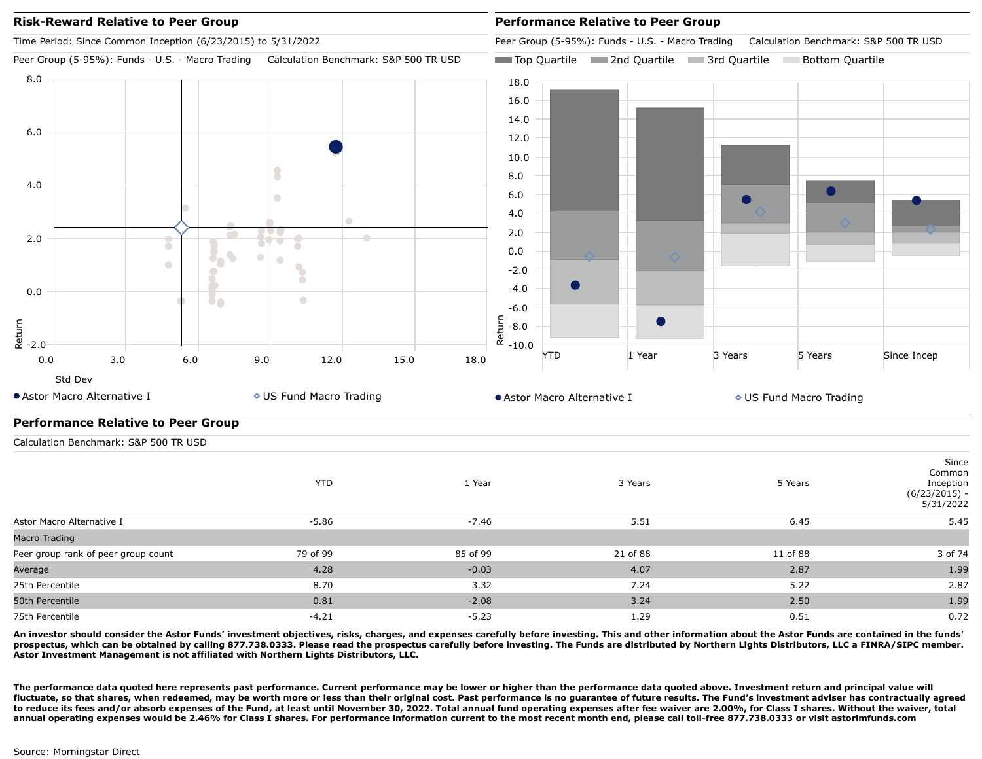

**An investor should consider the Astor Funds' investment objectives, risks, charges, and expenses carefully before investing. This and other information about the Astor Funds are contained in the funds' prospectus, which can be obtained by calling 877.738.0333. Please read the prospectus carefully before investing. The Funds are distributed by Northern Lights Distributors, LLC a FINRA/SIPC member. Astor Investment Management is not affiliated with Northern Lights Distributors, LLC.**

The performance data quoted here represents past performance. Current performance may be lower or higher than the performance data quoted above. Investment return and principal value will **fluctuate, so that shares, when redeemed, may be worth more or less than their original cost. Past performance is no guarantee of future results. The Fund's investment adviser has contractually agreed to reduce its fees and/or absorb expenses of the Fund, at least until November 30, 2022. Total annual fund operating expenses after fee waiver are 2.00%, for Class I shares. Without the waiver, total annual operating expenses would be 2.46% for Class I shares. For performance information current to the most recent month end, please call toll-free 877.738.0333 or visit astorimfunds.com**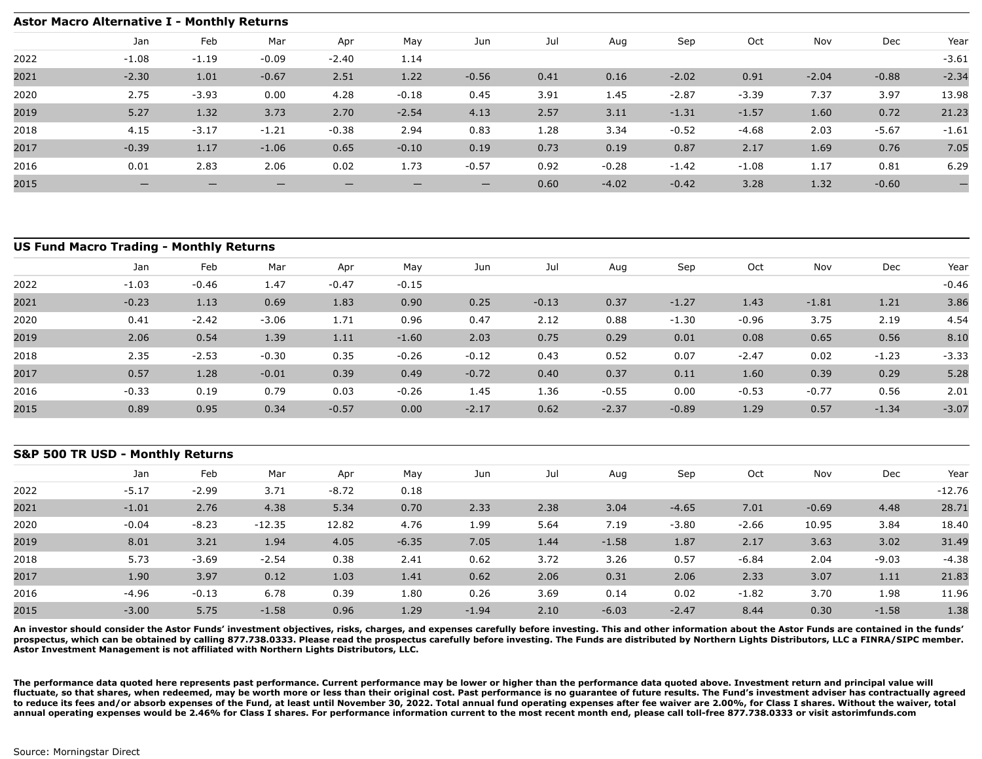### **Astor Macro Alternative I - Monthly Returns** Jan Feb Mar Apr May Jun Jul Aug Sep Oct Nov Dec Year 2022 2021 2020 2019 2018 2017 2016 2015 -1.08 -1.19 -0.09 -2.40 1.14 -3.61 -2.30 1.01 -0.67 2.51 1.22 -0.56 0.41 0.16 -2.02 0.91 -2.04 -0.88 -2.34 2.75 -3.93 0.00 4.28 -0.18 0.45 3.91 1.45 -2.87 -3.39 7.37 3.97 13.98 5.27 1.32 3.73 2.70 -2.54 4.13 2.57 3.11 -1.31 -1.57 1.60 0.72 21.23 4.15 -3.17 -1.21 -0.38 2.94 0.83 1.28 3.34 -0.52 -4.68 2.03 -5.67 -1.61 -0.39 1.17 -1.06 0.65 -0.10 0.19 0.73 0.19 0.87 2.17 1.69 0.76 7.05 0.01 2.83 2.06 0.02 1.73 -0.57 0.92 -0.28 -1.42 -1.08 1.17 0.81 6.29 — — — — — — 0.60 -4.02 -0.42 3.28 1.32 -0.60 —

|      | <b>US Fund Macro Trading - Monthly Returns</b> |         |         |         |         |         |         |         |         |         |         |         |         |
|------|------------------------------------------------|---------|---------|---------|---------|---------|---------|---------|---------|---------|---------|---------|---------|
|      | Jan                                            | Feb     | Mar     | Apr     | May     | Jun     | Jul     | Aug     | Sep     | Oct     | Nov     | Dec     | Year    |
| 2022 | $-1.03$                                        | $-0.46$ | 1.47    | $-0.47$ | $-0.15$ |         |         |         |         |         |         |         | $-0.46$ |
| 2021 | $-0.23$                                        | 1.13    | 0.69    | 1.83    | 0.90    | 0.25    | $-0.13$ | 0.37    | $-1.27$ | 1.43    | $-1.81$ | 1.21    | 3.86    |
| 2020 | 0.41                                           | $-2.42$ | $-3.06$ | 1.71    | 0.96    | 0.47    | 2.12    | 0.88    | $-1.30$ | $-0.96$ | 3.75    | 2.19    | 4.54    |
| 2019 | 2.06                                           | 0.54    | 1.39    | 1.11    | $-1.60$ | 2.03    | 0.75    | 0.29    | 0.01    | 0.08    | 0.65    | 0.56    | 8.10    |
| 2018 | 2.35                                           | $-2.53$ | $-0.30$ | 0.35    | $-0.26$ | $-0.12$ | 0.43    | 0.52    | 0.07    | $-2.47$ | 0.02    | $-1.23$ | $-3.33$ |
| 2017 | 0.57                                           | 1.28    | $-0.01$ | 0.39    | 0.49    | $-0.72$ | 0.40    | 0.37    | 0.11    | 1.60    | 0.39    | 0.29    | 5.28    |
| 2016 | $-0.33$                                        | 0.19    | 0.79    | 0.03    | $-0.26$ | 1.45    | 1.36    | $-0.55$ | 0.00    | $-0.53$ | $-0.77$ | 0.56    | 2.01    |
| 2015 | 0.89                                           | 0.95    | 0.34    | $-0.57$ | 0.00    | $-2.17$ | 0.62    | $-2.37$ | $-0.89$ | 1.29    | 0.57    | $-1.34$ | $-3.07$ |

|      | S&P 500 TR USD - Monthly Returns |         |          |         |         |         |      |         |         |         |         |         |          |  |
|------|----------------------------------|---------|----------|---------|---------|---------|------|---------|---------|---------|---------|---------|----------|--|
|      | Jan                              | Feb     | Mar      | Apr     | May     | Jun     | Jul  | Aug     | Sep     | Oct     | Nov     | Dec     | Year     |  |
| 2022 | $-5.17$                          | $-2.99$ | 3.71     | $-8.72$ | 0.18    |         |      |         |         |         |         |         | $-12.76$ |  |
| 2021 | $-1.01$                          | 2.76    | 4.38     | 5.34    | 0.70    | 2.33    | 2.38 | 3.04    | $-4.65$ | 7.01    | $-0.69$ | 4.48    | 28.71    |  |
| 2020 | $-0.04$                          | $-8.23$ | $-12.35$ | 12.82   | 4.76    | 1.99    | 5.64 | 7.19    | $-3.80$ | $-2.66$ | 10.95   | 3.84    | 18.40    |  |
| 2019 | 8.01                             | 3.21    | 1.94     | 4.05    | $-6.35$ | 7.05    | 1.44 | $-1.58$ | 1.87    | 2.17    | 3.63    | 3.02    | 31.49    |  |
| 2018 | 5.73                             | $-3.69$ | $-2.54$  | 0.38    | 2.41    | 0.62    | 3.72 | 3.26    | 0.57    | $-6.84$ | 2.04    | $-9.03$ | $-4.38$  |  |
| 2017 | 1.90                             | 3.97    | 0.12     | 1.03    | 1.41    | 0.62    | 2.06 | 0.31    | 2.06    | 2.33    | 3.07    | 1.11    | 21.83    |  |
| 2016 | -4.96                            | $-0.13$ | 6.78     | 0.39    | 1.80    | 0.26    | 3.69 | 0.14    | 0.02    | $-1.82$ | 3.70    | 1.98    | 11.96    |  |
| 2015 | $-3.00$                          | 5.75    | $-1.58$  | 0.96    | 1.29    | $-1.94$ | 2.10 | $-6.03$ | $-2.47$ | 8.44    | 0.30    | $-1.58$ | 1.38     |  |

**An investor should consider the Astor Funds' investment objectives, risks, charges, and expenses carefully before investing. This and other information about the Astor Funds are contained in the funds' prospectus, which can be obtained by calling 877.738.0333. Please read the prospectus carefully before investing. The Funds are distributed by Northern Lights Distributors, LLC a FINRA/SIPC member. Astor Investment Management is not affiliated with Northern Lights Distributors, LLC.**

**The performance data quoted here represents past performance. Current performance may be lower or higher than the performance data quoted above. Investment return and principal value will fluctuate, so that shares, when redeemed, may be worth more or less than their original cost. Past performance is no guarantee of future results. The Fund's investment adviser has contractually agreed** to reduce its fees and/or absorb expenses of the Fund, at least until November 30, 2022. Total annual fund operating expenses after fee waiver are 2.00%, for Class I shares. Without the waiver, total **annual operating expenses would be 2.46% for Class I shares. For performance information current to the most recent month end, please call toll-free 877.738.0333 or visit astorimfunds.com**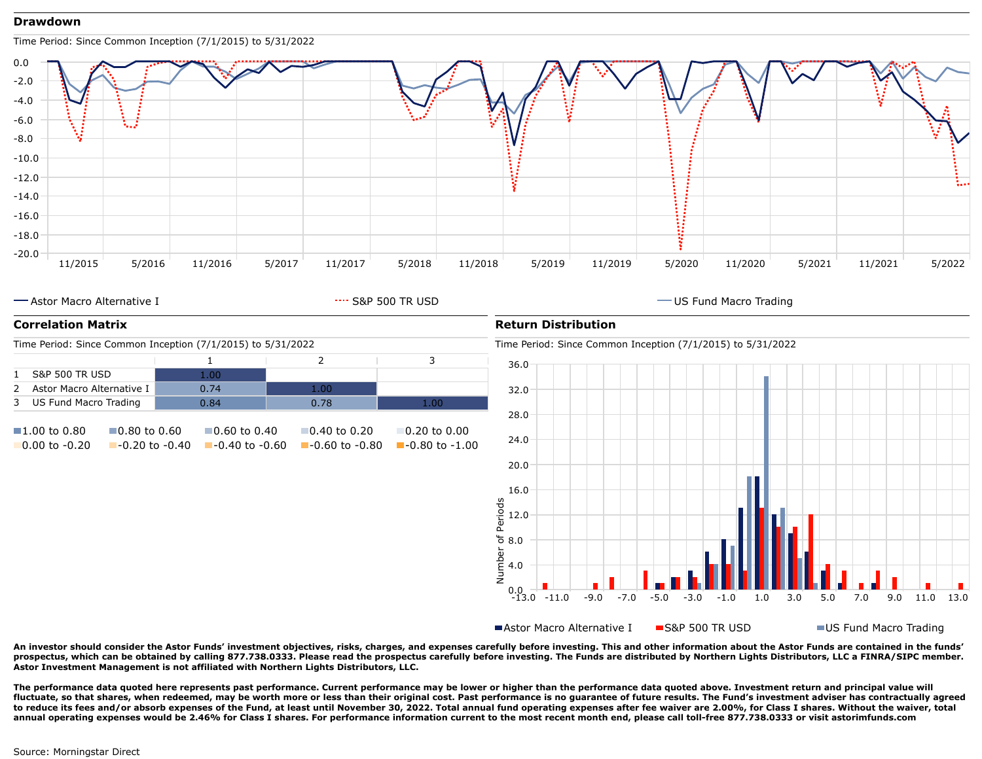## **Drawdown**



**An investor should consider the Astor Funds' investment objectives, risks, charges, and expenses carefully before investing. This and other information about the Astor Funds are contained in the funds' prospectus, which can be obtained by calling 877.738.0333. Please read the prospectus carefully before investing. The Funds are distributed by Northern Lights Distributors, LLC a FINRA/SIPC member. Astor Investment Management is not affiliated with Northern Lights Distributors, LLC.**

0.0

-13.0 -11.0 -9.0 -7.0 -5.0 -3.0 -1.0 1.0 3.0 5.0 7.0 9.0 11.0 13.0

■Astor Macro Alternative I ■S&P 500 TR USD ■US Fund Macro Trading

**The performance data quoted here represents past performance. Current performance may be lower or higher than the performance data quoted above. Investment return and principal value will fluctuate, so that shares, when redeemed, may be worth more or less than their original cost. Past performance is no guarantee of future results. The Fund's investment adviser has contractually agreed to reduce its fees and/or absorb expenses of the Fund, at least until November 30, 2022. Total annual fund operating expenses after fee waiver are 2.00%, for Class I shares. Without the waiver, total annual operating expenses would be 2.46% for Class I shares. For performance information current to the most recent month end, please call toll-free 877.738.0333 or visit astorimfunds.com**